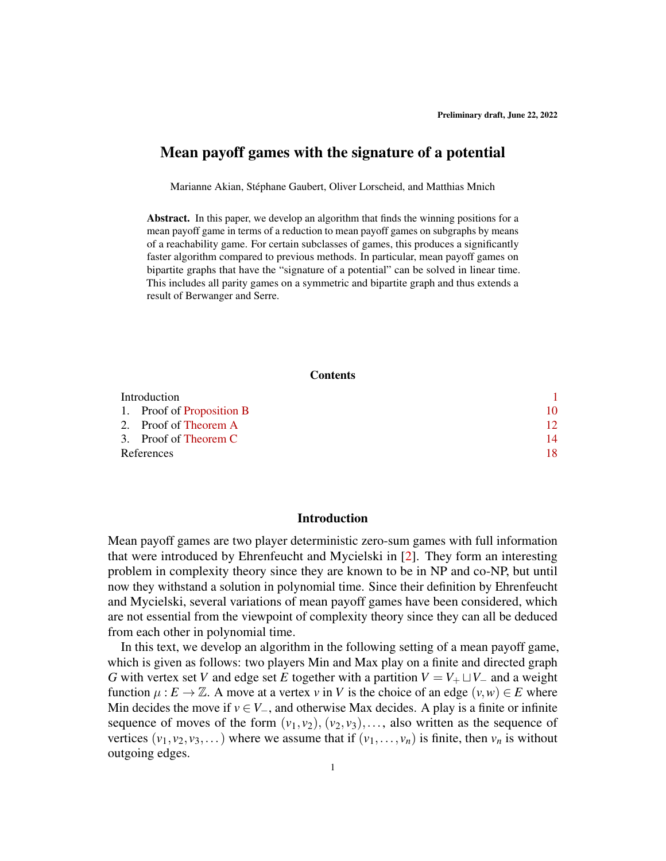# Mean payoff games with the signature of a potential

Marianne Akian, Stéphane Gaubert, Oliver Lorscheid, and Matthias Mnich

Abstract. In this paper, we develop an algorithm that finds the winning positions for a mean payoff game in terms of a reduction to mean payoff games on subgraphs by means of a reachability game. For certain subclasses of games, this produces a significantly faster algorithm compared to previous methods. In particular, mean payoff games on bipartite graphs that have the "signature of a potential" can be solved in linear time. This includes all parity games on a symmetric and bipartite graph and thus extends a result of Berwanger and Serre.

#### **Contents**

| Introduction |                           |     |
|--------------|---------------------------|-----|
|              | 1. Proof of Proposition B | 10  |
|              | 2. Proof of Theorem A     | 12. |
|              | 3. Proof of Theorem C     | 14  |
| References   |                           | 18  |

### <span id="page-0-0"></span>Introduction

Mean payoff games are two player deterministic zero-sum games with full information that were introduced by Ehrenfeucht and Mycielski in [\[2\]](#page-17-1). They form an interesting problem in complexity theory since they are known to be in NP and co-NP, but until now they withstand a solution in polynomial time. Since their definition by Ehrenfeucht and Mycielski, several variations of mean payoff games have been considered, which are not essential from the viewpoint of complexity theory since they can all be deduced from each other in polynomial time.

In this text, we develop an algorithm in the following setting of a mean payoff game, which is given as follows: two players Min and Max play on a finite and directed graph *G* with vertex set *V* and edge set *E* together with a partition  $V = V_+ \sqcup V_-$  and a weight function  $\mu : E \to \mathbb{Z}$ . A move at a vertex *v* in *V* is the choice of an edge  $(v, w) \in E$  where Min decides the move if  $v \in V_-\$ , and otherwise Max decides. A play is a finite or infinite sequence of moves of the form  $(v_1, v_2)$ ,  $(v_2, v_3)$ ,..., also written as the sequence of vertices  $(v_1, v_2, v_3,...)$  where we assume that if  $(v_1,..., v_n)$  is finite, then  $v_n$  is without outgoing edges.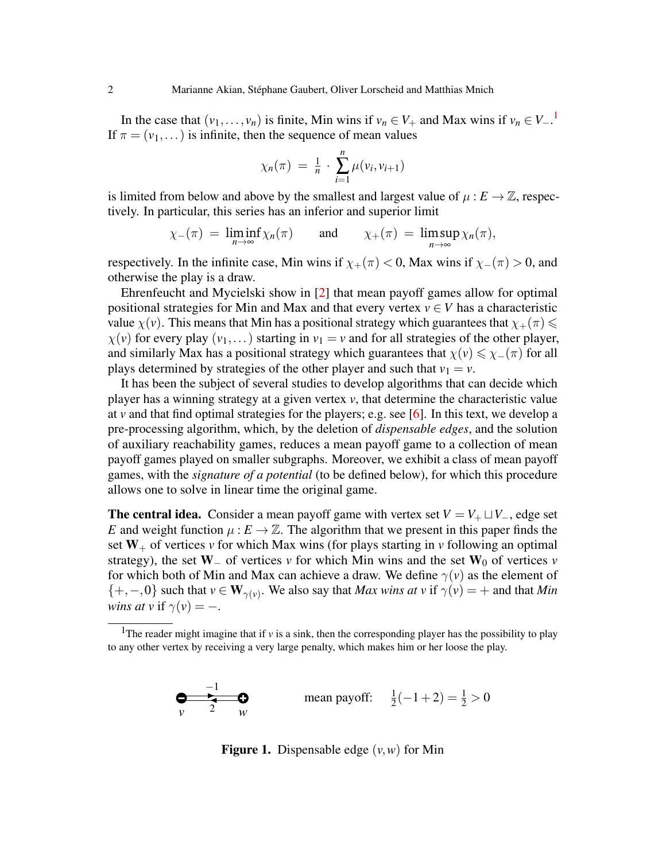In the case that  $(v_1,..., v_n)$  $(v_1,..., v_n)$  $(v_1,..., v_n)$  is finite, Min wins if  $v_n \in V_+$  and Max wins if  $v_n \in V_-\cdot$ <sup>1</sup> If  $\pi = (\nu_1, \dots)$  is infinite, then the sequence of mean values

$$
\chi_n(\pi) = \frac{1}{n} \cdot \sum_{i=1}^n \mu(v_i, v_{i+1})
$$

is limited from below and above by the smallest and largest value of  $\mu : E \to \mathbb{Z}$ , respectively. In particular, this series has an inferior and superior limit

$$
\chi_{-}(\pi) = \liminf_{n \to \infty} \chi_n(\pi)
$$
 and  $\chi_{+}(\pi) = \limsup_{n \to \infty} \chi_n(\pi)$ ,

respectively. In the infinite case, Min wins if  $\chi_+(\pi) < 0$ , Max wins if  $\chi_-(\pi) > 0$ , and otherwise the play is a draw.

Ehrenfeucht and Mycielski show in [\[2\]](#page-17-1) that mean payoff games allow for optimal positional strategies for Min and Max and that every vertex  $v \in V$  has a characteristic value  $\chi(v)$ . This means that Min has a positional strategy which guarantees that  $\chi_+(\pi) \leq$  $\chi(\nu)$  for every play  $(\nu_1,\dots)$  starting in  $\nu_1 = \nu$  and for all strategies of the other player, and similarly Max has a positional strategy which guarantees that  $\chi(\nu) \leq \chi_-(\pi)$  for all plays determined by strategies of the other player and such that  $v_1 = v$ .

It has been the subject of several studies to develop algorithms that can decide which player has a winning strategy at a given vertex *v*, that determine the characteristic value at  $\nu$  and that find optimal strategies for the players; e.g. see [\[6\]](#page-17-2). In this text, we develop a pre-processing algorithm, which, by the deletion of *dispensable edges*, and the solution of auxiliary reachability games, reduces a mean payoff game to a collection of mean payoff games played on smaller subgraphs. Moreover, we exhibit a class of mean payoff games, with the *signature of a potential* (to be defined below), for which this procedure allows one to solve in linear time the original game.

**The central idea.** Consider a mean payoff game with vertex set  $V = V_+ \sqcup V_-$ , edge set *E* and weight function  $\mu : E \to \mathbb{Z}$ . The algorithm that we present in this paper finds the set  $W_+$  of vertices *v* for which Max wins (for plays starting in *v* following an optimal strategy), the set  $W_$  of vertices *v* for which Min wins and the set  $W_0$  of vertices *v* for which both of Min and Max can achieve a draw. We define  $\gamma(v)$  as the element of  $\{+, -, 0\}$  such that  $v \in W_{\gamma(v)}$ . We also say that *Max wins at*  $v$  if  $\gamma(v) = +$  and that *Min wins at v* if  $\gamma(v) = -$ .

$$
\begin{array}{ccc}\n-1 & \longrightarrow & \text{mean payoff:} & \frac{1}{2}(-1+2) = \frac{1}{2} > 0\\
v & 2 & w\n\end{array}
$$

<span id="page-1-1"></span>Figure 1. Dispensable edge (*v*,*w*) for Min

<span id="page-1-0"></span><sup>&</sup>lt;sup>1</sup>The reader might imagine that if  $\nu$  is a sink, then the corresponding player has the possibility to play to any other vertex by receiving a very large penalty, which makes him or her loose the play.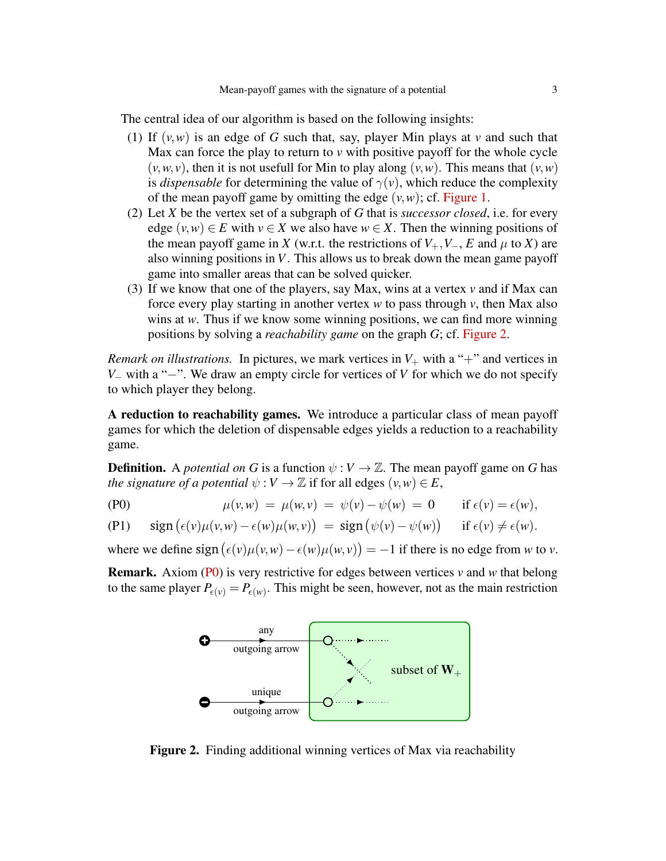The central idea of our algorithm is based on the following insights:

- (1) If  $(v, w)$  is an edge of G such that, say, player Min plays at *v* and such that Max can force the play to return to *v* with positive payoff for the whole cycle  $(v, w, v)$ , then it is not usefull for Min to play along  $(v, w)$ . This means that  $(v, w)$ is *dispensable* for determining the value of  $\gamma(v)$ , which reduce the complexity of the mean payoff game by omitting the edge  $(v, w)$ ; cf. [Figure 1.](#page-1-1)
- (2) Let *X* be the vertex set of a subgraph of *G* that is *successor closed*, i.e. for every edge  $(v, w) \in E$  with  $v \in X$  we also have  $w \in X$ . Then the winning positions of the mean payoff game in *X* (w.r.t. the restrictions of  $V_+, V_-, E$  and  $\mu$  to *X*) are also winning positions in *V*. This allows us to break down the mean game payoff game into smaller areas that can be solved quicker.
- (3) If we know that one of the players, say Max, wins at a vertex *v* and if Max can force every play starting in another vertex *w* to pass through *v*, then Max also wins at *w*. Thus if we know some winning positions, we can find more winning positions by solving a *reachability game* on the graph *G*; cf. [Figure 2.](#page-2-0)

*Remark on illustrations.* In pictures, we mark vertices in  $V_+$  with a "+" and vertices in *V*<sub>−</sub> with a "−". We draw an empty circle for vertices of *V* for which we do not specify to which player they belong.

A reduction to reachability games. We introduce a particular class of mean payoff games for which the deletion of dispensable edges yields a reduction to a reachability game.

**Definition.** A *potential on G* is a function  $\psi : V \to \mathbb{Z}$ . The mean payoff game on *G* has *the signature of a potential*  $\psi : V \to \mathbb{Z}$  if for all edges  $(v, w) \in E$ ,

<span id="page-2-1"></span>
$$
\mu(v,w) = \mu(w,v) = \psi(v) - \psi(w) = 0 \quad \text{if } \epsilon(v) = \epsilon(w),
$$

<span id="page-2-2"></span>(P1) 
$$
\operatorname{sign}(\epsilon(v)\mu(v,w)-\epsilon(w)\mu(w,v)) = \operatorname{sign}(\psi(v)-\psi(w)) \quad \text{if } \epsilon(v) \neq \epsilon(w).
$$

where we define  $sign(\epsilon(v)\mu(v,w) - \epsilon(w)\mu(w,v)) = -1$  if there is no edge from *w* to *v*.

Remark. Axiom [\(P0\)](#page-2-1) is very restrictive for edges between vertices *v* and *w* that belong to the same player  $P_{\epsilon(v)} = P_{\epsilon(w)}$ . This might be seen, however, not as the main restriction



<span id="page-2-0"></span>Figure 2. Finding additional winning vertices of Max via reachability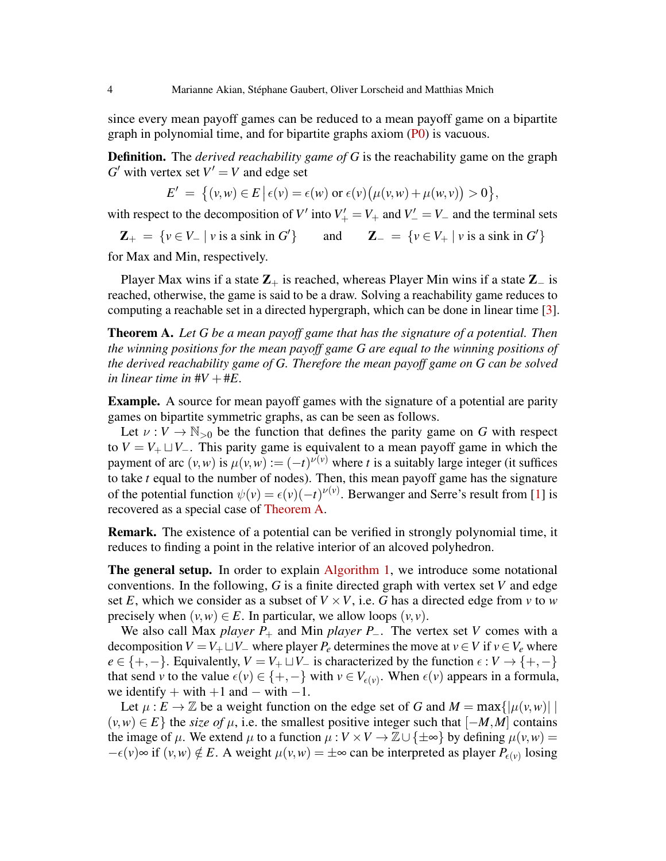since every mean payoff games can be reduced to a mean payoff game on a bipartite graph in polynomial time, and for bipartite graphs axiom [\(P0\)](#page-2-1) is vacuous.

Definition. The *derived reachability game of G* is the reachability game on the graph  $G'$  with vertex set  $V' = V$  and edge set

$$
E' = \{(v, w) \in E \mid \epsilon(v) = \epsilon(w) \text{ or } \epsilon(v) (\mu(v, w) + \mu(w, v)) > 0 \},
$$

with respect to the decomposition of *V*<sup> $\prime$ </sup> into  $V'_{+} = V_{+}$  and  $V'_{-} = V_{-}$  and the terminal sets

 $\mathbf{Z}_{+} = \{ v \in V_{-} \mid v \text{ is a sink in } G' \}$ } and  $\mathbf{Z}_{-} = \{ v \in V_{+} \mid v \text{ is a sink in } G' \}$ 

for Max and Min, respectively.

Player Max wins if a state  $\mathbb{Z}_+$  is reached, whereas Player Min wins if a state  $\mathbb{Z}_-$  is reached, otherwise, the game is said to be a draw. Solving a reachability game reduces to computing a reachable set in a directed hypergraph, which can be done in linear time [\[3\]](#page-17-3).

<span id="page-3-0"></span>Theorem A. *Let G be a mean payoff game that has the signature of a potential. Then the winning positions for the mean payoff game G are equal to the winning positions of the derived reachability game of G. Therefore the mean payoff game on G can be solved in linear time in*  $\#V + \#E$ .

Example. A source for mean payoff games with the signature of a potential are parity games on bipartite symmetric graphs, as can be seen as follows.

Let  $v: V \to \mathbb{N}_{>0}$  be the function that defines the parity game on *G* with respect to  $V = V_+ \sqcup V_-$ . This parity game is equivalent to a mean payoff game in which the payment of arc  $(v, w)$  is  $\mu(v, w) := (-t)^{\nu(v)}$  where *t* is a suitably large integer (it suffices to take *t* equal to the number of nodes). Then, this mean payoff game has the signature of the potential function  $\psi(v) = \epsilon(v)(-t)^{\nu(v)}$ . Berwanger and Serre's result from [\[1\]](#page-17-4) is recovered as a special case of [Theorem A.](#page-3-0)

Remark. The existence of a potential can be verified in strongly polynomial time, it reduces to finding a point in the relative interior of an alcoved polyhedron.

The general setup. In order to explain [Algorithm 1,](#page-6-0) we introduce some notational conventions. In the following, *G* is a finite directed graph with vertex set *V* and edge set *E*, which we consider as a subset of  $V \times V$ , i.e. *G* has a directed edge from *v* to *w* precisely when  $(v, w) \in E$ . In particular, we allow loops  $(v, v)$ .

We also call Max *player*  $P_+$  and Min *player*  $P_-$ . The vertex set *V* comes with a decomposition *V* = *V*<sub>+</sub>  $\sqcup$ *V*<sub>−</sub> where player *P*<sup>*e*</sup> determines the move at *v* ∈ *V* if *v* ∈ *V*<sub>*e*</sub> where  $e \in \{+, -\}.$  Equivalently,  $V = V_+ \sqcup V_-$  is characterized by the function  $\epsilon : V \to \{+, -\}$ that send *v* to the value  $\epsilon(v) \in \{+, -\}$  with  $v \in V_{\epsilon(v)}$ . When  $\epsilon(v)$  appears in a formula, we identify + with  $+1$  and  $-$  with  $-1$ .

Let  $\mu$ :  $E \to \mathbb{Z}$  be a weight function on the edge set of *G* and  $M = \max\{|\mu(v, w)| \mid$  $(v, w) \in E$  the *size of*  $\mu$ , i.e. the smallest positive integer such that  $[-M, M]$  contains the image of  $\mu$ . We extend  $\mu$  to a function  $\mu : V \times V \to \mathbb{Z} \cup \{\pm \infty\}$  by defining  $\mu(v, w) =$  $-\epsilon(v) \approx \text{if } (v, w) \notin E$ . A weight  $\mu(v, w) = \pm \infty$  can be interpreted as player  $P_{\epsilon(v)}$  losing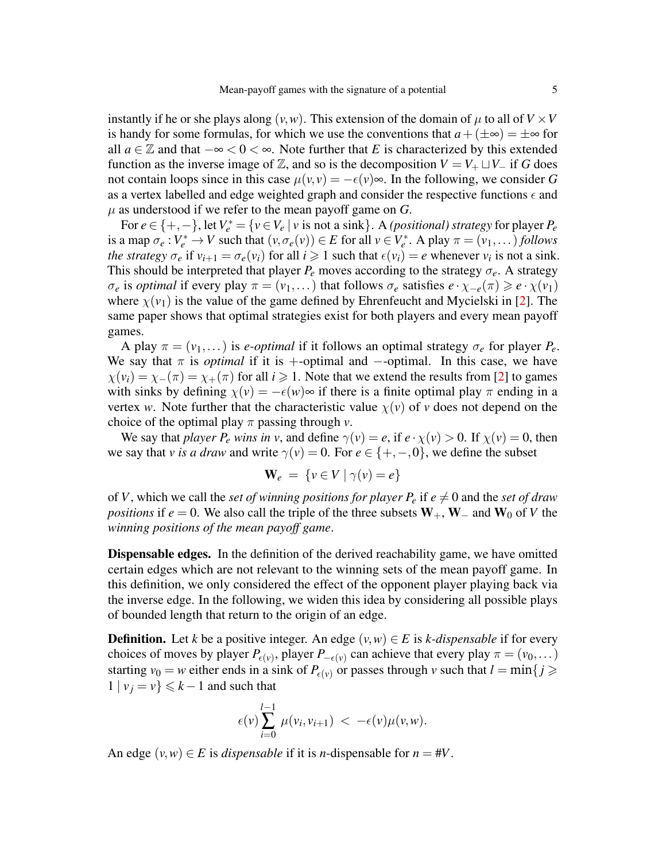instantly if he or she plays along  $(v, w)$ . This extension of the domain of  $\mu$  to all of  $V \times V$ is handy for some formulas, for which we use the conventions that  $a + (\pm \infty) = \pm \infty$  for all *a* ∈  $\mathbb Z$  and that  $-\infty < 0 < \infty$ . Note further that *E* is characterized by this extended function as the inverse image of  $\mathbb{Z}$ , and so is the decomposition  $V = V_+ \sqcup V_-$  if *G* does not contain loops since in this case  $\mu(v, v) = -\epsilon(v) \infty$ . In the following, we consider G as a vertex labelled and edge weighted graph and consider the respective functions  $\epsilon$  and  $\mu$  as understood if we refer to the mean payoff game on *G*.

For  $e \in \{+, -\}$ , let  $V_e^* = \{v \in V_e \mid v \text{ is not a sink}\}\)$ . A *(positional) strategy* for player  $P_e$ is a map  $\sigma_e: V_e^* \to V$  such that  $(v, \sigma_e(v)) \in E$  for all  $v \in V_e^*$ . A play  $\pi = (v_1, \dots)$  *follows the strategy*  $\sigma_e$  if  $v_{i+1} = \sigma_e(v_i)$  for all  $i \ge 1$  such that  $\epsilon(v_i) = e$  whenever  $v_i$  is not a sink. This should be interpreted that player  $P_e$  moves according to the strategy  $\sigma_e$ . A strategy  $\sigma_e$  is *optimal* if every play  $\pi = (v_1, \dots)$  that follows  $\sigma_e$  satisfies  $e \cdot \chi_{-e}(\pi) \geq e \cdot \chi(v_1)$ where  $\chi(\nu_1)$  is the value of the game defined by Ehrenfeucht and Mycielski in [\[2\]](#page-17-1). The same paper shows that optimal strategies exist for both players and every mean payoff games.

A play  $\pi = (v_1, \dots)$  is *e-optimal* if it follows an optimal strategy  $\sigma_e$  for player  $P_e$ . We say that  $\pi$  is *optimal* if it is +-optimal and --optimal. In this case, we have  $\chi(v_i) = \chi_-(\pi) = \chi_+(\pi)$  for all  $i \ge 1$ . Note that we extend the results from [\[2\]](#page-17-1) to games with sinks by defining  $\chi(v) = -\epsilon(w) \infty$  if there is a finite optimal play  $\pi$  ending in a vertex *w*. Note further that the characteristic value  $\chi(v)$  of *v* does not depend on the choice of the optimal play  $\pi$  passing through *v*.

We say that *player*  $P_e$  *wins in*  $v$ , and define  $\gamma(v) = e$ , if  $e \cdot \chi(v) > 0$ . If  $\chi(v) = 0$ , then we say that *v* is a draw and write  $\gamma(v) = 0$ . For  $e \in \{+, -, 0\}$ , we define the subset

$$
\mathbf{W}_e = \{ v \in V \mid \gamma(v) = e \}
$$

of *V*, which we call the *set of winning positions for player*  $P_e$  if  $e \neq 0$  and the *set of draw positions* if  $e = 0$ . We also call the triple of the three subsets  $W_+$ ,  $W_-$  and  $W_0$  of *V* the *winning positions of the mean payoff game*.

Dispensable edges. In the definition of the derived reachability game, we have omitted certain edges which are not relevant to the winning sets of the mean payoff game. In this definition, we only considered the effect of the opponent player playing back via the inverse edge. In the following, we widen this idea by considering all possible plays of bounded length that return to the origin of an edge.

**Definition.** Let *k* be a positive integer. An edge  $(v, w) \in E$  is *k*-dispensable if for every choices of moves by player  $P_{\epsilon(v)}$ , player  $P_{-\epsilon(v)}$  can achieve that every play  $\pi = (v_0, \dots)$ starting  $v_0 = w$  either ends in a sink of  $P_{\epsilon(v)}$  or passes through v such that  $l = \min\{j \geq$  $1 | v_j = v \} \le k - 1$  and such that

$$
\epsilon(v) \sum_{i=0}^{l-1} \mu(v_i, v_{i+1}) < -\epsilon(v) \mu(v, w).
$$

An edge  $(v, w) \in E$  is *dispensable* if it is *n*-dispensable for  $n = #V$ .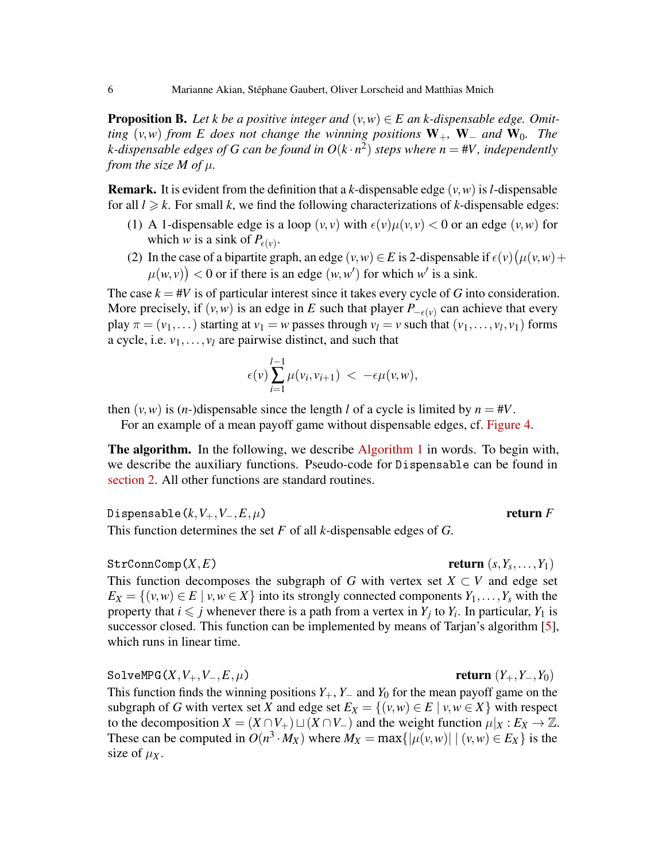<span id="page-5-0"></span>**Proposition B.** Let *k* be a positive integer and  $(v, w) \in E$  an *k*-dispensable edge. Omit*ting*  $(v, w)$  *from E does not change the winning positions*  $W_+$ ,  $W_-$  *and*  $W_0$ . *The k-dispensable edges of G can be found in O*(*k* · *n* 2 ) *steps where n* = #*V, independently from the size M of*  $\mu$ *.* 

**Remark.** It is evident from the definition that a *k*-dispensable edge  $(v, w)$  is *l*-dispensable for all  $l \geq k$ . For small k, we find the following characterizations of k-dispensable edges:

- (1) A 1-dispensable edge is a loop  $(v, v)$  with  $\epsilon(v) \mu(v, v) < 0$  or an edge  $(v, w)$  for which *w* is a sink of  $P_{\epsilon(v)}$ .
- (2) In the case of a bipartite graph, an edge  $(v, w) \in E$  is 2-dispensable if  $\epsilon(v) (\mu(v, w) +$  $\mu(w, v)$  < 0 or if there is an edge  $(w, w')$  for which *w'* is a sink.

The case  $k = #V$  is of particular interest since it takes every cycle of *G* into consideration. More precisely, if  $(v, w)$  is an edge in *E* such that player  $P_{-\epsilon(v)}$  can achieve that every play  $\pi = (v_1, \dots)$  starting at  $v_1 = w$  passes through  $v_l = v$  such that  $(v_1, \dots, v_l, v_1)$  forms a cycle, i.e.  $v_1, \ldots, v_l$  are pairwise distinct, and such that

$$
\epsilon(\nu) \sum_{i=1}^{l-1} \mu(\nu_i, \nu_{i+1}) < -\epsilon \mu(\nu, w),
$$

then  $(v, w)$  is  $(n-)$ dispensable since the length *l* of a cycle is limited by  $n = #V$ .

For an example of a mean payoff game without dispensable edges, cf. [Figure 4.](#page-8-0)

The algorithm. In the following, we describe [Algorithm 1](#page-6-0) in words. To begin with, we describe the auxiliary functions. Pseudo-code for Dispensable can be found in [section 2.](#page-11-0) All other functions are standard routines.

Dispensable $(k, V_+, V_-, E, \mu)$  return *F* 

This function determines the set *F* of all *k*-dispensable edges of *G*.

#### $StrConnComp(X,E)$

return  $(s, Y_s, \ldots, Y_1)$ 

This function decomposes the subgraph of *G* with vertex set  $X \subset V$  and edge set  $E_X = \{(v, w) \in E \mid v, w \in X\}$  into its strongly connected components  $Y_1, \ldots, Y_s$  with the property that  $i \leq j$  whenever there is a path from a vertex in  $Y_j$  to  $Y_i$ . In particular,  $Y_1$  is successor closed. This function can be implemented by means of Tarjan's algorithm [\[5\]](#page-17-5), which runs in linear time.

 $SolveMPG(X, V_+, V_-, E, \mu)$  return  $(Y_+, Y_-, Y_0)$ This function finds the winning positions *Y*+, *Y*<sup>−</sup> and *Y*<sup>0</sup> for the mean payoff game on the subgraph of *G* with vertex set *X* and edge set  $E_X = \{(v, w) \in E \mid v, w \in X\}$  with respect to the decomposition  $X = (X \cap V_+) \sqcup (X \cap V_-)$  and the weight function  $\mu|_X : E_X \to \mathbb{Z}$ . These can be computed in  $O(n^3 \cdot M_X)$  where  $M_X = \max\{|\mu(v, w)| | (v, w) \in E_X\}$  is the size of  $\mu_X$ .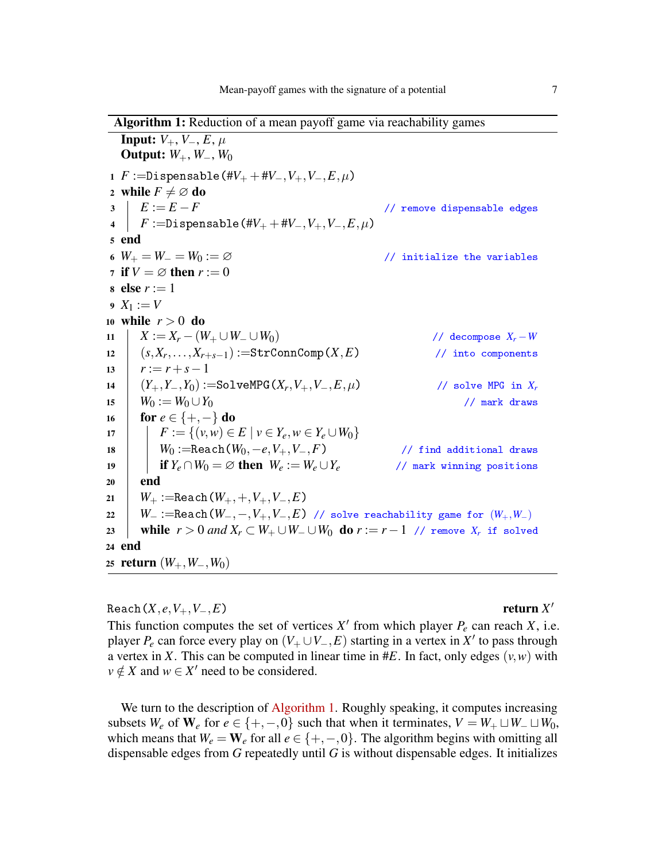Algorithm 1: Reduction of a mean payoff game via reachability games

<span id="page-6-9"></span><span id="page-6-8"></span><span id="page-6-7"></span><span id="page-6-2"></span><span id="page-6-1"></span>Input:  $V_+, V_-, E, \mu$ Output: *W*+, *W*−, *W*<sup>0</sup> 1 *F* :=Dispensable(# $V_+$  +# $V_-,V_+,V_-,E,\mu$ ) 2 while  $F \neq \emptyset$  do<br>3  $\mid E := E - F$  $\begin{array}{lll} 3 & E := E - F & \text{ // remove dispensible edges} \ 4 & F := \text{Dispenstable} & \end{array}$  $F :=$ Dispensable(# $V_+$  + # $V_-, V_+, V_-, E, \mu$ ) <sup>5</sup> end 6  $W_+ = W_- = W_0 := \varnothing$  // initialize the variables 7 if  $V = \emptyset$  then  $r := 0$ 8 else  $r := 1$  $9 \ X_1 := V$ <sup>10</sup> while *r* > 0 do  $X := X_r - (W_+ \cup W_- \cup W_0)$ <br>  $12 \quad (s, X_r, \ldots, X_{r+s-1}) := \text{StrConnComp}(X, E)$  // into components <sup>12</sup> (*s*,*X<sup>r</sup>* ,...,*Xr*+*s*−1) :=StrConnComp(*X*,*E*) // into components 13  $r := r + s - 1$ 14  $(Y_+, Y_-, Y_0) := \text{SolveMPG}(X_r, V_+, V_-, E, \mu)$  $\frac{V}{\sqrt{2}}$  solve MPG in  $X_r$ <br> $\frac{V}{\sqrt{2}}$  mark draws 15 *W*<sub>0</sub> :=  $W_0 \cup Y_0$ 16 **for**  $e \in \{+, -\}$  do 17 **F** :=  $\{(v, w) \in E \mid v \in Y_e, w \in Y_e \cup W_0\}$ 18 **W**<sub>0</sub> :=Reach( $W_0$ , -e,  $V_+, V_-, F$ ) // find additional draws<br>
19 **if**  $Y_e \cap W_0 = \varnothing$  **then**  $W_e := W_e \cup Y_e$  // mark winning positions if  $Y_e \cap W_0 = \varnothing$  then  $W_e := W_e \cup Y_e$  $20$  end 21 *W*<sub>+</sub> :=Reach( $W_+, +, V_+, V_-, E$ ) 22 *W*<sub>−</sub> :=Reach(*W*<sub>−</sub>,−,*V*<sub>+</sub>,*V*<sub>−</sub>,*E*) // solve reachability game for  $(W_+, W_-)$ <br>23 **while**  $r > 0$  and  $X_r \subset W_+ \cup W_- \cup W_0$  **do**  $r := r - 1$  // remove  $X_r$  if solve **while**  $r > 0$  and  $X_r \subset W_+ \cup W_- \cup W_0$  **do**  $r := r - 1$  // remove  $X_r$  if solved <sup>24</sup> end 25 **return** (*W*<sub>+</sub>, *W*<sub>−</sub>, *W*<sub>0</sub>)

<span id="page-6-10"></span><span id="page-6-6"></span><span id="page-6-5"></span><span id="page-6-4"></span><span id="page-6-3"></span><span id="page-6-0"></span> $\text{Reach}(X, e, V_+, V_-, E)$ 

return  $X'$ 

This function computes the set of vertices  $X'$  from which player  $P_e$  can reach  $X$ , i.e. player *P<sub>e</sub>* can force every play on  $(V_+ \cup V_-, E)$  starting in a vertex in X' to pass through a vertex in *X*. This can be computed in linear time in #*E*. In fact, only edges  $(v, w)$  with  $v \notin X$  and  $w \in X'$  need to be considered.

We turn to the description of [Algorithm 1.](#page-6-0) Roughly speaking, it computes increasing subsets  $W_e$  of  $W_e$  for  $e \in \{+, -, 0\}$  such that when it terminates,  $V = W_+ \sqcup W_- \sqcup W_0$ , which means that  $W_e = W_e$  for all  $e \in \{+, -, 0\}$ . The algorithm begins with omitting all dispensable edges from *G* repeatedly until *G* is without dispensable edges. It initializes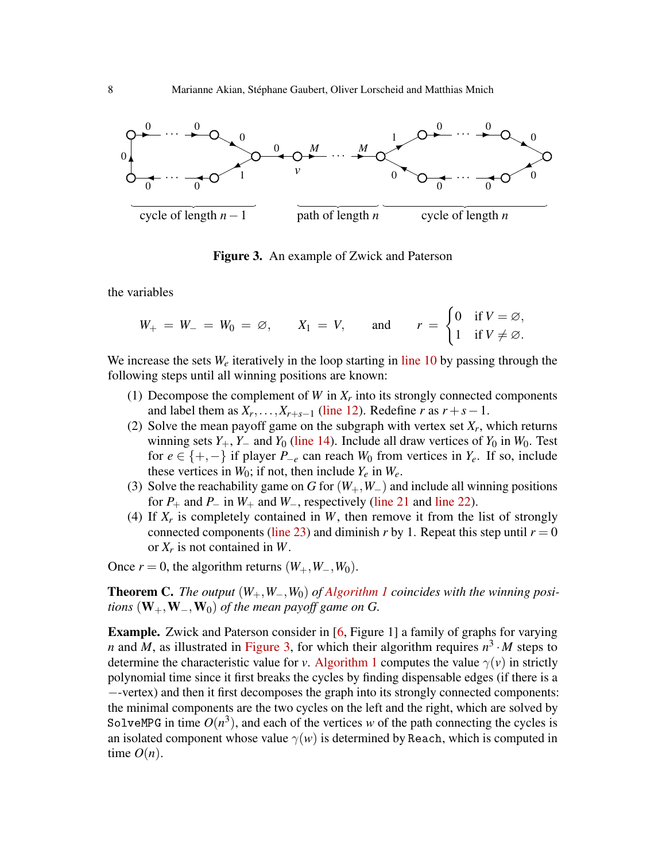

<span id="page-7-1"></span>Figure 3. An example of Zwick and Paterson

the variables

$$
W_+ = W_- = W_0 = \varnothing, \qquad X_1 = V, \qquad \text{and} \qquad r = \begin{cases} 0 & \text{if } V = \varnothing, \\ 1 & \text{if } V \neq \varnothing. \end{cases}
$$

We increase the sets  $W_e$  iteratively in the loop starting in [line 10](#page-6-1) by passing through the following steps until all winning positions are known:

- (1) Decompose the complement of  $W$  in  $X_r$  into its strongly connected components and label them as  $X_r, \ldots, X_{r+s-1}$  [\(line 12\)](#page-6-2). Redefine *r* as  $r + s - 1$ .
- (2) Solve the mean payoff game on the subgraph with vertex set  $X_r$ , which returns winning sets  $Y_+$ ,  $Y_-$  and  $Y_0$  [\(line 14\)](#page-6-3). Include all draw vertices of  $Y_0$  in  $W_0$ . Test for *e* ∈ {+, −} if player *P*<sub>−*e*</sub> can reach *W*<sup>0</sup> from vertices in *Y<sub>e</sub>*. If so, include these vertices in  $W_0$ ; if not, then include  $Y_e$  in  $W_e$ .
- (3) Solve the reachability game on *G* for (*W*+,*W*−) and include all winning positions for  $P_+$  and  $P_-$  in  $W_+$  and  $W_-$ , respectively [\(line 21](#page-6-4) and [line 22\)](#page-6-5).
- (4) If  $X_r$  is completely contained in  $W$ , then remove it from the list of strongly connected components [\(line 23\)](#page-6-6) and diminish *r* by 1. Repeat this step until  $r = 0$ or *X<sup>r</sup>* is not contained in *W*.

Once  $r = 0$ , the algorithm returns  $(W_+, W_-, W_0)$ .

<span id="page-7-0"></span>Theorem C. *The output* (*W*+,*W*−,*W*0) *of [Algorithm 1](#page-6-0) coincides with the winning positions*  $(\mathbf{W}_+,\mathbf{W}_-,\mathbf{W}_0)$  *of the mean payoff game on G.* 

Example. Zwick and Paterson consider in [\[6,](#page-17-2) Figure 1] a family of graphs for varying *n* and *M*, as illustrated in [Figure 3,](#page-7-1) for which their algorithm requires  $n^3 \cdot M$  steps to determine the characteristic value for *v*. [Algorithm 1](#page-6-0) computes the value  $\gamma(v)$  in strictly polynomial time since it first breaks the cycles by finding dispensable edges (if there is a −-vertex) and then it first decomposes the graph into its strongly connected components: the minimal components are the two cycles on the left and the right, which are solved by SolveMPG in time  $O(n^3)$ , and each of the vertices *w* of the path connecting the cycles is an isolated component whose value  $\gamma(w)$  is determined by Reach, which is computed in time  $O(n)$ .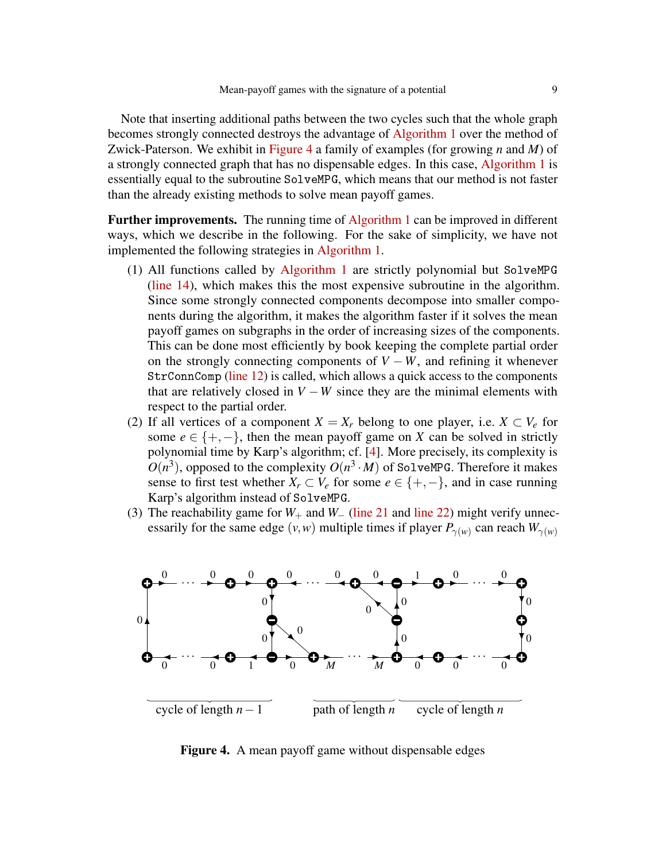Note that inserting additional paths between the two cycles such that the whole graph becomes strongly connected destroys the advantage of [Algorithm 1](#page-6-0) over the method of Zwick-Paterson. We exhibit in [Figure 4](#page-8-0) a family of examples (for growing *n* and *M*) of a strongly connected graph that has no dispensable edges. In this case, [Algorithm 1](#page-6-0) is essentially equal to the subroutine SolveMPG, which means that our method is not faster than the already existing methods to solve mean payoff games.

Further improvements. The running time of [Algorithm 1](#page-6-0) can be improved in different ways, which we describe in the following. For the sake of simplicity, we have not implemented the following strategies in [Algorithm 1.](#page-6-0)

- (1) All functions called by [Algorithm 1](#page-6-0) are strictly polynomial but SolveMPG [\(line 14\)](#page-6-3), which makes this the most expensive subroutine in the algorithm. Since some strongly connected components decompose into smaller components during the algorithm, it makes the algorithm faster if it solves the mean payoff games on subgraphs in the order of increasing sizes of the components. This can be done most efficiently by book keeping the complete partial order on the strongly connecting components of  $V - W$ , and refining it whenever StrConnComp [\(line 12\)](#page-6-2) is called, which allows a quick access to the components that are relatively closed in  $V - W$  since they are the minimal elements with respect to the partial order.
- (2) If all vertices of a component  $X = X_r$  belong to one player, i.e.  $X \subset V_e$  for some  $e \in \{+, -\}$ , then the mean payoff game on *X* can be solved in strictly polynomial time by Karp's algorithm; cf. [\[4\]](#page-17-6). More precisely, its complexity is  $O(n^3)$ , opposed to the complexity  $O(n^3 \cdot M)$  of SolveMPG. Therefore it makes sense to first test whether  $X_r \subset V_e$  for some  $e \in \{+, -\}$ , and in case running Karp's algorithm instead of SolveMPG.
- (3) The reachability game for  $W_+$  and  $W_-\$  [\(line 21](#page-6-4) and [line 22\)](#page-6-5) might verify unnecessarily for the same edge  $(v, w)$  multiple times if player  $P_{\gamma(w)}$  can reach  $W_{\gamma(w)}$



<span id="page-8-0"></span>Figure 4. A mean payoff game without dispensable edges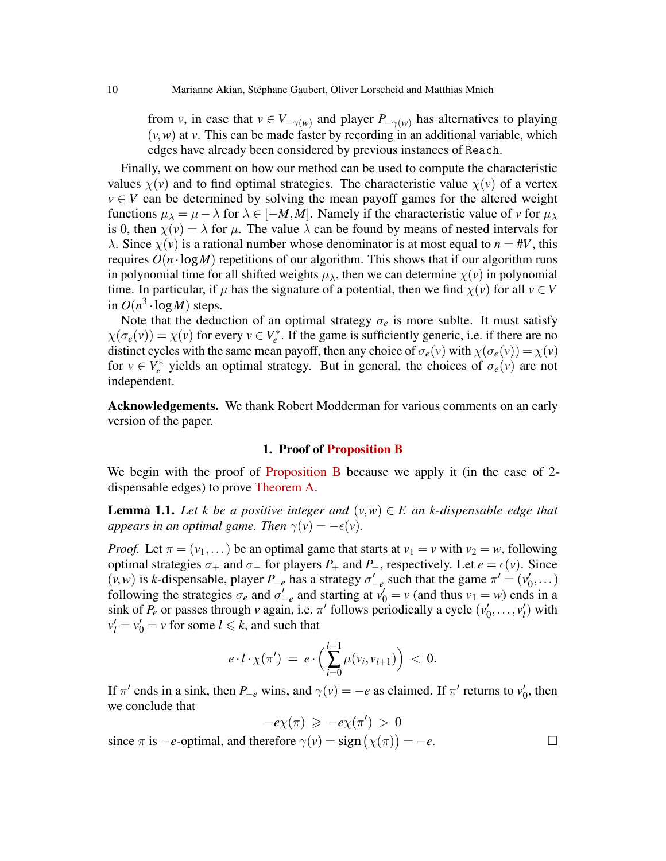from *v*, in case that  $v \in V_{-\gamma(w)}$  and player  $P_{-\gamma(w)}$  has alternatives to playing  $(v, w)$  at *v*. This can be made faster by recording in an additional variable, which edges have already been considered by previous instances of Reach.

Finally, we comment on how our method can be used to compute the characteristic values  $\chi(v)$  and to find optimal strategies. The characteristic value  $\chi(v)$  of a vertex  $v \in V$  can be determined by solving the mean payoff games for the altered weight functions  $\mu_{\lambda} = \mu - \lambda$  for  $\lambda \in [-M, M]$ . Namely if the characteristic value of *v* for  $\mu_{\lambda}$ is 0, then  $\chi(v) = \lambda$  for  $\mu$ . The value  $\lambda$  can be found by means of nested intervals for λ. Since  $\chi$ (*v*) is a rational number whose denominator is at most equal to *n* = #*V*, this requires  $O(n \cdot \log M)$  repetitions of our algorithm. This shows that if our algorithm runs in polynomial time for all shifted weights  $\mu_{\lambda}$ , then we can determine  $\chi(\nu)$  in polynomial time. In particular, if  $\mu$  has the signature of a potential, then we find  $\chi(\nu)$  for all  $\nu \in V$ in  $O(n^3 \cdot \log M)$  steps.

Note that the deduction of an optimal strategy  $\sigma_e$  is more sublte. It must satisfy  $\chi(\sigma_e(v)) = \chi(v)$  for every  $v \in V_e^*$ . If the game is sufficiently generic, i.e. if there are no distinct cycles with the same mean payoff, then any choice of  $\sigma_e(v)$  with  $\chi(\sigma_e(v)) = \chi(v)$ for  $v \in V_e^*$  yields an optimal strategy. But in general, the choices of  $\sigma_e(v)$  are not independent.

Acknowledgements. We thank Robert Modderman for various comments on an early version of the paper.

### 1. Proof of [Proposition B](#page-5-0)

<span id="page-9-0"></span>We begin with the proof of [Proposition B](#page-5-0) because we apply it (in the case of 2dispensable edges) to prove [Theorem A.](#page-3-0)

<span id="page-9-1"></span>**Lemma 1.1.** Let *k* be a positive integer and  $(v, w) \in E$  an *k*-dispensable edge that *appears in an optimal game. Then*  $\gamma(v) = -\epsilon(v)$ *.* 

*Proof.* Let  $\pi = (v_1, \dots)$  be an optimal game that starts at  $v_1 = v$  with  $v_2 = w$ , following optimal strategies  $\sigma_+$  and  $\sigma_-$  for players  $P_+$  and  $P_-$ , respectively. Let  $e = \epsilon(v)$ . Since  $(v, w)$  is *k*-dispensable, player  $P_{-e}$  has a strategy  $\sigma'_{-e}$  such that the game  $\pi' = (v'_0, \dots)$ following the strategies  $\sigma_e$  and  $\sigma'_{-e}$  and starting at  $v'_0 = v$  (and thus  $v_1 = w$ ) ends in a sink of  $P_e$  or passes through *v* again, i.e.  $\pi'$  follows periodically a cycle  $(v'_0, \ldots, v'_l)$  with  $v'_l = v'_0 = v$  for some  $l \le k$ , and such that

$$
e \cdot l \cdot \chi(\pi') = e \cdot \left( \sum_{i=0}^{l-1} \mu(v_i, v_{i+1}) \right) < 0.
$$

If  $\pi'$  ends in a sink, then *P*<sub>−*e*</sub> wins, and  $\gamma(v) = -e$  as claimed. If  $\pi'$  returns to  $v'_0$ , then we conclude that

$$
-e\chi(\pi) \geqslant -e\chi(\pi') > 0
$$

since  $\pi$  is  $-e$ -optimal, and therefore  $\gamma(v) = \text{sign}(\chi(\pi)) = -e$ .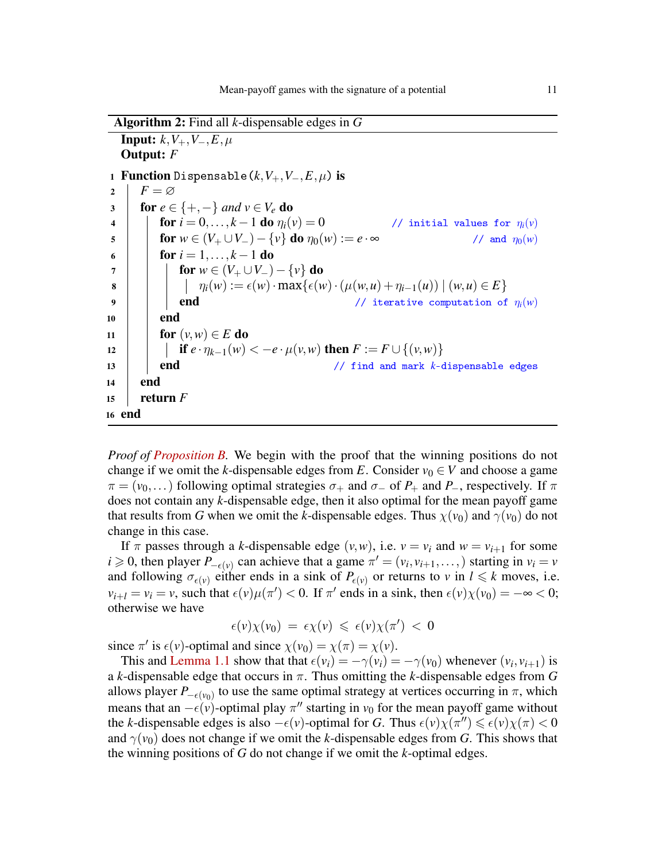Algorithm 2: Find all *k*-dispensable edges in *G* **Input:**  $k$ ,  $V_+, V_-, E, \mu$ Output: *F* 1 **Function** Dispensable( $k$ , $V_+$ , $V_-, E, \mu$ ) is<br>2 │  $F = ∅$  $F = \varnothing$ 3 for  $e \in \{+, -\}$  and  $v \in V_e$  do<br>4 for  $i = 0, ..., k - 1$  do  $v_i$ for  $i = 0, ..., k - 1$  do  $\eta_i(v) = 0$  // initial values for  $\eta_i(v)$ <br>for  $w \in (V_+ \cup V_-) - \{v\}$  do  $\eta_0(w) := e \cdot \infty$  // and  $\eta_0(w)$ 5 **for**  $w \in (V_+ \cup V_-) - \{v\}$  do  $\eta_0(w) := e \cdot \infty$ 6 **for**  $i = 1, ..., k - 1$  do  $\begin{array}{|c|c|c|c|}\n\hline\n\text{3} & \text{if } \mathsf{for} \ w \in (V_+ \cup V_-) - \{v\} \text{ do} \\
\hline\n\text{ii} & \eta_i(w) := \epsilon(w) \cdot \max\{\epsilon(w)\}\n\end{array}$  $\eta_i(w) := \epsilon(w) \cdot \max\{\epsilon(w) \cdot (\mu(w, u) + \eta_{i-1}(u)) \mid (w, u) \in E\}$ <br> **end**<br>
(*i* terative computation of 9 **end end**  $\left| \begin{array}{c} \bullet \end{array} \right|$  **end**  $\left| \begin{array}{c} \bullet \end{array} \right|$  **end**  $\left| \begin{array}{c} \bullet \end{array} \right|$  **end**  $\left| \begin{array}{c} \bullet \end{array} \right|$  **end**  $\left| \begin{array}{c} \bullet \end{array} \right|$  **end**  $\left| \begin{array}{c} \bullet \end{array} \right|$  **end**  $\left| \begin{array}{c} \bullet \end{array} \right|$  **end**  $\left|$  $10$  end 11 **for**  $(v, w) \in E$  do <sup>12</sup> if *e* · η*k*−1(*w*) < −*e* ·µ(*v*,*w*) then *F* := *F* ∪ {(*v*,*w*)} 13 **end** 21 **end** 21 **end** 21 **end** 21 **end** 21 **end** 21 **end** 21 **end** 21 **end** 21 **end** 21 **end** 21 **end** 21 **end** 21 **end** 21 **end** 21 **end** 21 **end** 21 **end** 21 **end** 21 **end** 21 **end** 21 **end** 21 **end** 21 **end** 21 **en** <sup>14</sup> end 15 **return**  $\overline{F}$ <sup>16</sup> end

<span id="page-10-0"></span>*Proof of [Proposition B.](#page-5-0)* We begin with the proof that the winning positions do not change if we omit the *k*-dispensable edges from *E*. Consider  $v_0 \in V$  and choose a game  $\pi = (v_0, \dots)$  following optimal strategies  $\sigma_+$  and  $\sigma_-$  of  $P_+$  and  $P_-,$  respectively. If  $\pi$ does not contain any *k*-dispensable edge, then it also optimal for the mean payoff game that results from *G* when we omit the *k*-dispensable edges. Thus  $\chi(v_0)$  and  $\gamma(v_0)$  do not change in this case.

If  $\pi$  passes through a *k*-dispensable edge  $(v, w)$ , i.e.  $v = v_i$  and  $w = v_{i+1}$  for some  $i \geq 0$ , then player  $P_{-\epsilon(v)}$  can achieve that a game  $\pi' = (v_i, v_{i+1}, \ldots)$  starting in  $v_i = v$ and following  $\sigma_{\epsilon(\nu)}$  either ends in a sink of  $P_{\epsilon(\nu)}$  or returns to  $\nu$  in  $l \leq k$  moves, i.e.  $v_{i+l} = v_i = v$ , such that  $\epsilon(v)\mu(\pi') < 0$ . If  $\pi'$  ends in a sink, then  $\epsilon(v)\chi(v_0) = -\infty < 0$ ; otherwise we have

$$
\epsilon(v)\chi(v_0) = \epsilon \chi(v) \leqslant \epsilon(v)\chi(\pi') < 0
$$

since  $\pi'$  is  $\epsilon(v)$ -optimal and since  $\chi(v_0) = \chi(\pi) = \chi(v)$ .

This and [Lemma 1.1](#page-9-1) show that that  $\epsilon(v_i) = -\gamma(v_i) = -\gamma(v_0)$  whenever  $(v_i, v_{i+1})$  is a *k*-dispensable edge that occurs in π. Thus omitting the *k*-dispensable edges from *G* allows player  $P_{-\epsilon(v_0)}$  to use the same optimal strategy at vertices occurring in  $\pi$ , which means that an  $-\epsilon(v)$ -optimal play  $\pi''$  starting in  $v_0$  for the mean payoff game without the *k*-dispensable edges is also  $-\epsilon(v)$ -optimal for *G*. Thus  $\epsilon(v)\chi(\pi'') \leq \epsilon(v)\chi(\pi) < 0$ and  $\gamma(v_0)$  does not change if we omit the *k*-dispensable edges from *G*. This shows that the winning positions of *G* do not change if we omit the *k*-optimal edges.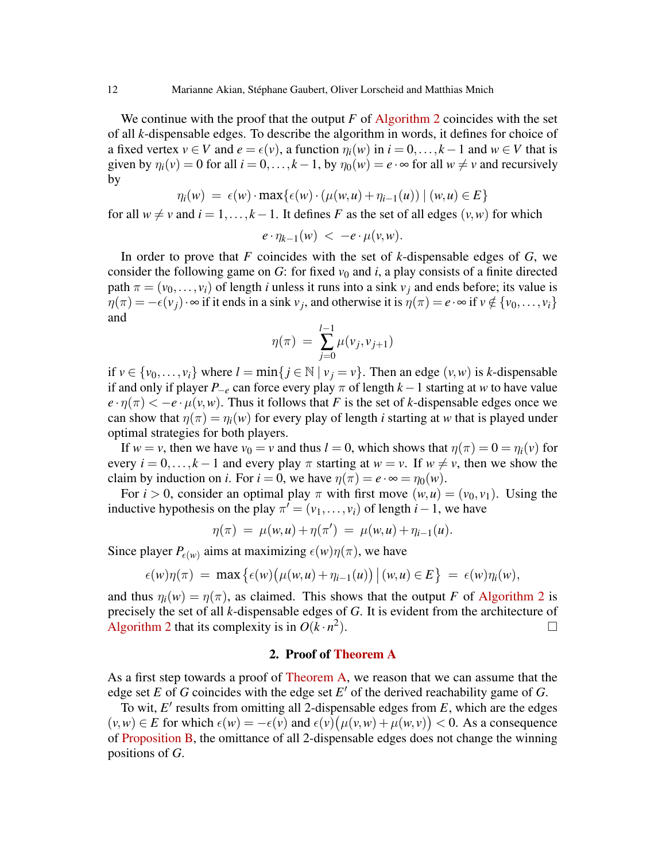We continue with the proof that the output  $F$  of [Algorithm 2](#page-10-0) coincides with the set of all *k*-dispensable edges. To describe the algorithm in words, it defines for choice of a fixed vertex  $v \in V$  and  $e = \epsilon(v)$ , a function  $\eta_i(w)$  in  $i = 0, \ldots, k - 1$  and  $w \in V$  that is given by  $\eta_i(v) = 0$  for all  $i = 0, ..., k - 1$ , by  $\eta_0(w) = e \cdot \infty$  for all  $w \neq v$  and recursively by

$$
\eta_i(w) = \epsilon(w) \cdot \max\{\epsilon(w) \cdot (\mu(w, u) + \eta_{i-1}(u)) \mid (w, u) \in E\}
$$

for all  $w \neq v$  and  $i = 1, ..., k - 1$ . It defines *F* as the set of all edges  $(v, w)$  for which

$$
e \cdot \eta_{k-1}(w) < -e \cdot \mu(v,w).
$$

In order to prove that *F* coincides with the set of *k*-dispensable edges of *G*, we consider the following game on  $G$ : for fixed  $v_0$  and  $i$ , a play consists of a finite directed path  $\pi = (v_0, \ldots, v_i)$  of length *i* unless it runs into a sink  $v_i$  and ends before; its value is  $\eta(\pi) = -\epsilon(v_j) \cdot \infty$  if it ends in a sink  $v_j$ , and otherwise it is  $\eta(\pi) = e \cdot \infty$  if  $v \notin \{v_0, \dots, v_i\}$ and

$$
\eta(\pi) = \sum_{j=0}^{l-1} \mu(v_j, v_{j+1})
$$

if  $v \in \{v_0, \ldots, v_i\}$  where  $l = \min\{j \in \mathbb{N} \mid v_j = v\}$ . Then an edge  $(v, w)$  is *k*-dispensable if and only if player  $P_{-e}$  can force every play  $\pi$  of length  $k-1$  starting at *w* to have value  $e \cdot \eta(\pi) < -e \cdot \mu(\nu, \nu)$ . Thus it follows that *F* is the set of *k*-dispensable edges once we can show that  $\eta(\pi) = \eta_i(w)$  for every play of length *i* starting at *w* that is played under optimal strategies for both players.

If  $w = v$ , then we have  $v_0 = v$  and thus  $l = 0$ , which shows that  $\eta(\pi) = 0 = \eta_i(v)$  for every  $i = 0, \ldots, k - 1$  and every play  $\pi$  starting at  $w = v$ . If  $w \neq v$ , then we show the claim by induction on *i*. For  $i = 0$ , we have  $\eta(\pi) = e \cdot \infty = \eta_0(w)$ .

For  $i > 0$ , consider an optimal play  $\pi$  with first move  $(w, u) = (v_0, v_1)$ . Using the inductive hypothesis on the play  $\pi' = (v_1, \ldots, v_i)$  of length *i* − 1, we have

$$
\eta(\pi) \ = \ \mu(w, u) + \eta(\pi') \ = \ \mu(w, u) + \eta_{i-1}(u).
$$

Since player  $P_{\epsilon(w)}$  aims at maximizing  $\epsilon(w)\eta(\pi)$ , we have

$$
\epsilon(w)\eta(\pi) = \max \big\{ \epsilon(w) \big( \mu(w, u) + \eta_{i-1}(u) \big) \, \big| \, (w, u) \in E \big\} = \epsilon(w)\eta_i(w),
$$

and thus  $\eta_i(w) = \eta(\pi)$ , as claimed. This shows that the output *F* of [Algorithm 2](#page-10-0) is precisely the set of all *k*-dispensable edges of *G*. It is evident from the architecture of [Algorithm 2](#page-10-0) that its complexity is in  $O(k \cdot n^2)$ ).  $\qquad \qquad \Box$ 

## 2. Proof of [Theorem A](#page-3-0)

<span id="page-11-0"></span>As a first step towards a proof of [Theorem A,](#page-3-0) we reason that we can assume that the edge set  $E$  of  $G$  coincides with the edge set  $E'$  of the derived reachability game of  $G$ .

To wit, E' results from omitting all 2-dispensable edges from E, which are the edges  $(v, w) \in E$  for which  $\epsilon(w) = -\epsilon(v)$  and  $\epsilon(v) (\mu(v, w) + \mu(w, v)) < 0$ . As a consequence of [Proposition B,](#page-5-0) the omittance of all 2-dispensable edges does not change the winning positions of *G*.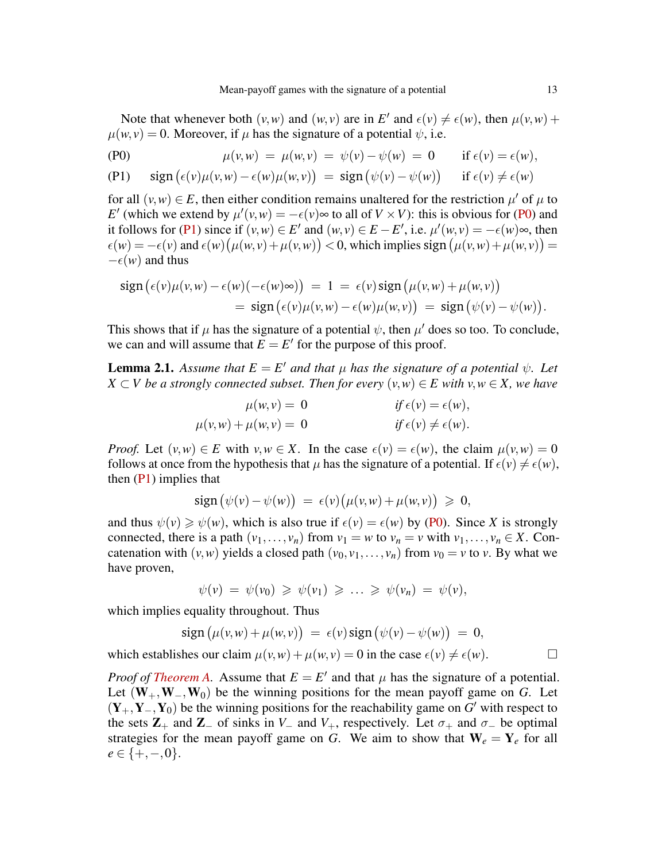Note that whenever both  $(v, w)$  and  $(w, v)$  are in *E'* and  $\epsilon(v) \neq \epsilon(w)$ , then  $\mu(v, w)$  +  $\mu(w, v) = 0$ . Moreover, if  $\mu$  has the signature of a potential  $\psi$ , i.e.

$$
\mu(v,w) = \mu(w,v) = \psi(v) - \psi(w) = 0 \quad \text{if } \epsilon(v) = \epsilon(w),
$$

(P1) 
$$
\operatorname{sign}(\epsilon(v)\mu(v,w) - \epsilon(w)\mu(w,v)) = \operatorname{sign}(\psi(v) - \psi(w)) \quad \text{if } \epsilon(v) \neq \epsilon(w)
$$

for all  $(v, w) \in E$ , then either condition remains unaltered for the restriction  $\mu'$  of  $\mu$  to *E*<sup> $\prime$ </sup> (which we extend by  $\mu'(v,w) = -\epsilon(v) \approx$  to all of  $V \times V$ ): this is obvious for [\(P0\)](#page-2-1) and it follows for [\(P1\)](#page-2-2) since if  $(v, w) \in E'$  and  $(w, v) \in E - E'$ , i.e.  $\mu'(w, v) = -\epsilon(w) \infty$ , then  $\epsilon(w) = -\epsilon(v)$  and  $\epsilon(w) (\mu(w, v) + \mu(v, w)) < 0$ , which implies sign  $(\mu(v, w) + \mu(w, v)) =$  $-\epsilon(w)$  and thus

$$
\text{sign}(\epsilon(v)\mu(v,w) - \epsilon(w)(-\epsilon(w)\infty)) = 1 = \epsilon(v)\text{sign}(\mu(v,w) + \mu(w,v))
$$
  
= sign(\epsilon(v)\mu(v,w) - \epsilon(w)\mu(w,v)) = sign(\psi(v) - \psi(w)).

This shows that if  $\mu$  has the signature of a potential  $\psi$ , then  $\mu'$  does so too. To conclude, we can and will assume that  $E = E'$  for the purpose of this proof.

<span id="page-12-0"></span>**Lemma 2.1.** Assume that  $E = E'$  and that  $\mu$  has the signature of a potential  $\psi$ . Let *X* ⊂ *V be a strongly connected subset. Then for every*  $(v, w) \in E$  *with*  $v, w \in X$ *, we have* 

$$
\mu(w, v) = 0 \qquad \qquad \text{if } \epsilon(v) = \epsilon(w),
$$
  

$$
\mu(v, w) + \mu(w, v) = 0 \qquad \qquad \text{if } \epsilon(v) \neq \epsilon(w).
$$

*Proof.* Let  $(v, w) \in E$  with  $v, w \in X$ . In the case  $\epsilon(v) = \epsilon(w)$ , the claim  $\mu(v, w) = 0$ follows at once from the hypothesis that  $\mu$  has the signature of a potential. If  $\epsilon(\nu) \neq \epsilon(\nu)$ , then [\(P1\)](#page-2-2) implies that

$$
\text{sign}\big(\psi(v)-\psi(w)\big) = \epsilon(v)\big(\mu(v,w)+\mu(w,v)\big) \geqslant 0,
$$

and thus  $\psi(v) \geq \psi(w)$ , which is also true if  $\epsilon(v) = \epsilon(w)$  by [\(P0\)](#page-2-1). Since *X* is strongly connected, there is a path  $(v_1,..., v_n)$  from  $v_1 = w$  to  $v_n = v$  with  $v_1,..., v_n \in X$ . Concatenation with  $(v, w)$  yields a closed path  $(v_0, v_1, \ldots, v_n)$  from  $v_0 = v$  to *v*. By what we have proven,

$$
\psi(v) = \psi(v_0) \geq \psi(v_1) \geq \ldots \geq \psi(v_n) = \psi(v),
$$

which implies equality throughout. Thus

$$
\operatorname{sign}(\mu(v,w)+\mu(w,v)) = \epsilon(v)\operatorname{sign}(\psi(v)-\psi(w)) = 0,
$$

which establishes our claim  $\mu(v, w) + \mu(w, v) = 0$  in the case  $\epsilon(v) \neq \epsilon(w)$ .

*Proof of [Theorem A.](#page-3-0)* Assume that  $E = E'$  and that  $\mu$  has the signature of a potential. Let (W+,W−,W0) be the winning positions for the mean payoff game on *G*. Let  $(Y_+, Y_-, Y_0)$  be the winning positions for the reachability game on *G*<sup>'</sup> with respect to the sets  $\mathbb{Z}_+$  and  $\mathbb{Z}_-$  of sinks in  $V_-\$  and  $V_+$ , respectively. Let  $\sigma_+\$  and  $\sigma_-\$  be optimal strategies for the mean payoff game on *G*. We aim to show that  $W_e = Y_e$  for all  $e \in \{+, -, 0\}.$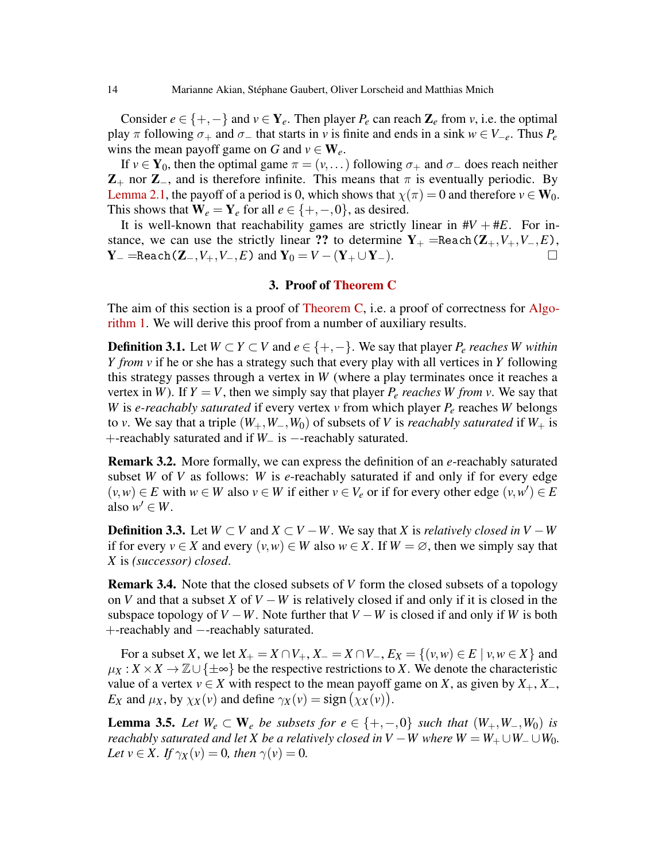Consider  $e \in \{+, -\}$  and  $v \in Y_e$ . Then player  $P_e$  can reach  $\mathbb{Z}_e$  from *v*, i.e. the optimal play  $\pi$  following  $\sigma_+$  and  $\sigma_-$  that starts in *v* is finite and ends in a sink  $w \in V_{-e}$ . Thus  $P_e$ wins the mean payoff game on *G* and  $v \in W_e$ .

If  $v \in Y_0$ , then the optimal game  $\pi = (v, \dots)$  following  $\sigma_+$  and  $\sigma_-$  does reach neither  $\mathbb{Z}_+$  nor  $\mathbb{Z}_-$ , and is therefore infinite. This means that  $\pi$  is eventually periodic. By [Lemma 2.1,](#page-12-0) the payoff of a period is 0, which shows that  $\chi(\pi) = 0$  and therefore  $v \in W_0$ . This shows that  $W_e = Y_e$  for all  $e \in \{+, -, 0\}$ , as desired.

It is well-known that reachability games are strictly linear in  $\#V + \#E$ . For instance, we can use the strictly linear ?? to determine  $Y_+ = \text{Reach}(Z_+, V_+, V_-, E)$ ,<br> $Y_- = \text{Reach}(Z_+, V_+, V_-, E)$  and  $Y_0 = V - (Y_+ \cup Y_-)$  $Y = =$ Reach(Z−,  $V_+, V_-, E$ ) and  $Y_0 = V - (Y_+ \cup Y_-).$ 

#### 3. Proof of [Theorem C](#page-7-0)

<span id="page-13-0"></span>The aim of this section is a proof of [Theorem C,](#page-7-0) i.e. a proof of correctness for [Algo](#page-6-0)[rithm 1.](#page-6-0) We will derive this proof from a number of auxiliary results.

**Definition 3.1.** Let *W* ⊂ *Y* ⊂ *V* and *e* ∈ {+, − }. We say that player *P<sub>e</sub> reaches W within Y from v* if he or she has a strategy such that every play with all vertices in *Y* following this strategy passes through a vertex in *W* (where a play terminates once it reaches a vertex in *W*). If  $Y = V$ , then we simply say that player  $P_e$  *reaches W* from *v*. We say that *W* is *e-reachably saturated* if every vertex *v* from which player *P<sup>e</sup>* reaches *W* belongs to *v*. We say that a triple  $(W_+, W_-, W_0)$  of subsets of *V* is *reachably saturated* if  $W_+$  is +-reachably saturated and if *W*<sup>−</sup> is −-reachably saturated.

Remark 3.2. More formally, we can express the definition of an *e*-reachably saturated subset *W* of *V* as follows: *W* is *e*-reachably saturated if and only if for every edge  $(v, w)$  ∈ *E* with  $w \in W$  also  $v \in W$  if either  $v \in V_e$  or if for every other edge  $(v, w') \in E$ also  $w' \in W$ .

**Definition 3.3.** Let *W* ⊂ *V* and *X* ⊂ *V* − *W*. We say that *X* is *relatively closed in V* − *W* if for every  $v \in X$  and every  $(v, w) \in W$  also  $w \in X$ . If  $W = \emptyset$ , then we simply say that *X* is *(successor) closed*.

Remark 3.4. Note that the closed subsets of *V* form the closed subsets of a topology on *V* and that a subset *X* of *V* −*W* is relatively closed if and only if it is closed in the subspace topology of  $V - W$ . Note further that  $V - W$  is closed if and only if *W* is both +-reachably and −-reachably saturated.

For a subset *X*, we let  $X_+ = X \cap V_+$ ,  $X_- = X \cap V_-, E_X = \{(v, w) \in E \mid v, w \in X\}$  and  $\mu_X : X \times X \to \mathbb{Z} \cup \{\pm \infty\}$  be the respective restrictions to *X*. We denote the characteristic value of a vertex  $v \in X$  with respect to the mean payoff game on *X*, as given by  $X_+$ ,  $X_−$ , *E<sub>X</sub>* and  $\mu_X$ , by  $\chi_X(v)$  and define  $\gamma_X(v) = \text{sign}(\chi_X(v))$ .

<span id="page-13-1"></span>**Lemma 3.5.** Let  $W_e \subset W_e$  be subsets for  $e \in \{+, -, 0\}$  such that  $(W_+, W_-, W_0)$  is *reachably saturated and let X be a relatively closed in*  $V - W$  *where*  $W = W_+ \cup W_- \cup W_0$ . *Let*  $v \in X$ *. If*  $\gamma_X(v) = 0$ *, then*  $\gamma(v) = 0$ *.*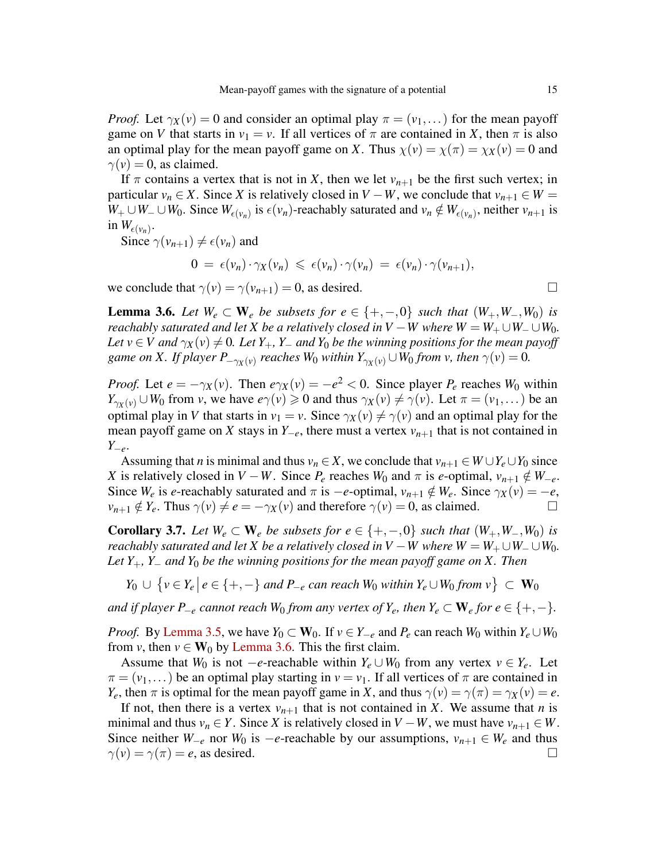*Proof.* Let  $\gamma_X(v) = 0$  and consider an optimal play  $\pi = (v_1, \dots)$  for the mean payoff game on *V* that starts in  $v_1 = v$ . If all vertices of  $\pi$  are contained in *X*, then  $\pi$  is also an optimal play for the mean payoff game on *X*. Thus  $\chi(v) = \chi(\pi) = \chi_X(v) = 0$  and  $\gamma(v) = 0$ , as claimed.

If  $\pi$  contains a vertex that is not in *X*, then we let  $v_{n+1}$  be the first such vertex; in particular  $v_n \in X$ . Since *X* is relatively closed in *V* − *W*, we conclude that  $v_{n+1} \in W$  = *W*<sup>+</sup> ∪*W*<sup>−</sup> ∪*W*<sub>0</sub>. Since  $W_{\epsilon(v_n)}$  is  $\epsilon(v_n)$ -reachably saturated and  $v_n \notin W_{\epsilon(v_n)}$ , neither  $v_{n+1}$  is in  $W_{\epsilon(\nu_n)}$ .

Since  $\gamma(v_{n+1}) \neq \epsilon(v_n)$  and

$$
0 = \epsilon(v_n) \cdot \gamma_X(v_n) \leq \epsilon(v_n) \cdot \gamma(v_n) = \epsilon(v_n) \cdot \gamma(v_{n+1}),
$$

we conclude that  $\gamma(v) = \gamma(v_{n+1}) = 0$ , as desired.

<span id="page-14-0"></span>**Lemma 3.6.** Let  $W_e \subset \mathbf{W}_e$  be subsets for  $e \in \{+, -, 0\}$  such that  $(W_+, W_-, W_0)$  is *reachably saturated and let X be a relatively closed in*  $V - W$  *where*  $W = W_+ \cup W_- \cup W_0$ . *Let*  $v \in V$  *and*  $\gamma_X(v) \neq 0$ *. Let*  $Y_+$ *,*  $Y_-$  *and*  $Y_0$  *be the winning positions for the mean payoff* game on X. If player  $P_{-\gamma_X(v)}$  reaches W<sub>0</sub> within  $Y_{\gamma_X(v)} \cup W_0$  from v, then  $\gamma(v) = 0$ .

*Proof.* Let  $e = -\gamma_X(v)$ . Then  $e\gamma_X(v) = -e^2 < 0$ . Since player  $P_e$  reaches  $W_0$  within  $Y_{\gamma_Y(v)} \cup W_0$  from *v*, we have  $e\gamma(v) \ge 0$  and thus  $\gamma_X(v) \ne \gamma(v)$ . Let  $\pi = (v_1, \dots)$  be an optimal play in *V* that starts in  $v_1 = v$ . Since  $\gamma_X(v) \neq \gamma(v)$  and an optimal play for the mean payoff game on *X* stays in  $Y_{-e}$ , there must a vertex  $v_{n+1}$  that is not contained in *Y*−*e*.

Assuming that *n* is minimal and thus  $v_n \in X$ , we conclude that  $v_{n+1} \in W \cup Y_e \cup Y_0$  since *X* is relatively closed in *V* − *W*. Since  $P_e$  reaches  $W_0$  and  $\pi$  is *e*-optimal,  $v_{n+1} \notin W_{-e}$ . Since *W<sub>e</sub>* is *e*-reachably saturated and  $\pi$  is −*e*-optimal,  $v_{n+1} \notin W_e$ . Since  $\gamma_X(v) = -e$ ,  $v_{n+1} \notin Y_e$ . Thus  $\gamma(v) \neq e = -\gamma_X(v)$  and therefore  $\gamma(v) = 0$ , as claimed.  $v_{n+1} \notin Y_e$ . Thus  $\gamma(v) \neq e = -\gamma_X(v)$  and therefore  $\gamma(v) = 0$ , as claimed.

<span id="page-14-1"></span>**Corollary 3.7.** Let  $W_e$  ⊂  $W_e$  *be subsets for*  $e \in \{+, -, 0\}$  *such that*  $(W_+, W_-, W_0)$  *is reachably saturated and let X be a relatively closed in*  $V - W$  *where*  $W = W_+ \cup W_- \cup W_0$ . *Let Y*+*, Y*<sup>−</sup> *and Y*<sup>0</sup> *be the winning positions for the mean payoff game on X. Then*

*Y*<sub>0</sub> ∪ { $v \in Y_e | e \in \{+, -\}$  *and P*−*e can reach*  $W_0$  *within*  $Y_e \cup W_0$  *from*  $v$ } ⊂  $W_0$ 

*and if player P<sub>−</sub><sup><i>e*</sup> *cannot reach*  $W_0$  *from any vertex of*  $Y_e$ *, then*  $Y_e \subset W_e$  *for*  $e \in \{+, -\}.$ 

*Proof.* By [Lemma 3.5,](#page-13-1) we have  $Y_0 \subset W_0$ . If  $v \in Y_{-e}$  and  $P_e$  can reach  $W_0$  within  $Y_e \cup W_0$ from *v*, then  $v \in W_0$  by [Lemma 3.6.](#page-14-0) This the first claim.

Assume that *W*<sup>0</sup> is not −*e*-reachable within  $Y_e \cup W_0$  from any vertex  $v \in Y_e$ . Let  $\pi = (v_1, \dots)$  be an optimal play starting in  $v = v_1$ . If all vertices of  $\pi$  are contained in *Y*<sub>*e*</sub>, then  $\pi$  is optimal for the mean payoff game in *X*, and thus  $\gamma(v) = \gamma(\pi) = \gamma_X(v) = e$ .

If not, then there is a vertex  $v_{n+1}$  that is not contained in *X*. We assume that *n* is minimal and thus  $v_n \in Y$ . Since *X* is relatively closed in  $V - W$ , we must have  $v_{n+1} \in W$ . Since neither *W*<sub>−*e*</sub> nor *W*<sub>0</sub> is −*e*-reachable by our assumptions,  $v_{n+1} \in W_e$  and thus  $\gamma(v) = \gamma(\pi) = e$ , as desired.  $\gamma(v) = \gamma(\pi) = e$ , as desired.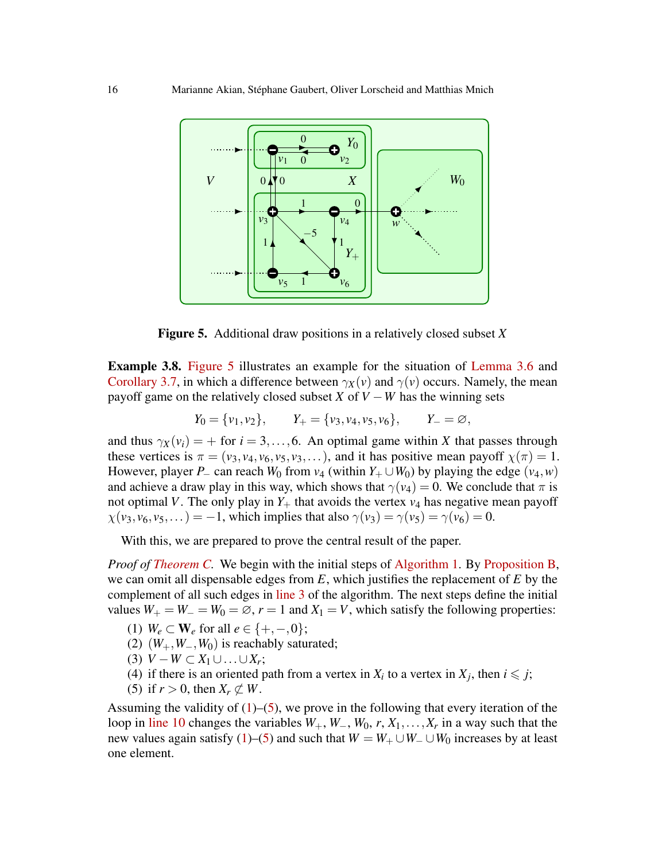

<span id="page-15-0"></span>Figure 5. Additional draw positions in a relatively closed subset *X*

Example 3.8. [Figure 5](#page-15-0) illustrates an example for the situation of [Lemma 3.6](#page-14-0) and [Corollary 3.7,](#page-14-1) in which a difference between  $\gamma_X(v)$  and  $\gamma(v)$  occurs. Namely, the mean payoff game on the relatively closed subset *X* of  $V - W$  has the winning sets

$$
Y_0 = \{v_1, v_2\},
$$
  $Y_+ = \{v_3, v_4, v_5, v_6\},$   $Y_- = \emptyset$ ,

and thus  $\gamma_X(v_i) = +$  for  $i = 3, ..., 6$ . An optimal game within *X* that passes through these vertices is  $\pi = (v_3, v_4, v_6, v_5, v_3, \dots)$ , and it has positive mean payoff  $\chi(\pi) = 1$ . However, player *P*− can reach  $W_0$  from  $v_4$  (within  $Y_+ \cup W_0$ ) by playing the edge ( $v_4, w$ ) and achieve a draw play in this way, which shows that  $\gamma(v_4) = 0$ . We conclude that  $\pi$  is not optimal *V*. The only play in  $Y_+$  that avoids the vertex  $v_4$  has negative mean payoff  $\chi(\nu_3, \nu_6, \nu_5,...) = -1$ , which implies that also  $\gamma(\nu_3) = \gamma(\nu_5) = \gamma(\nu_6) = 0$ .

With this, we are prepared to prove the central result of the paper.

*Proof of [Theorem C.](#page-7-0)* We begin with the initial steps of [Algorithm 1.](#page-6-0) By [Proposition B,](#page-5-0) we can omit all dispensable edges from *E*, which justifies the replacement of *E* by the complement of all such edges in [line 3](#page-6-7) of the algorithm. The next steps define the initial values  $W_+ = W_- = W_0 = \emptyset$ ,  $r = 1$  and  $X_1 = V$ , which satisfy the following properties:

- <span id="page-15-1"></span>(1) *W<sub>e</sub>* ⊂ **W**<sub>e</sub> for all  $e \in \{+, -, 0\};$
- <span id="page-15-5"></span>(2)  $(W_+, W_-, W_0)$  is reachably saturated;
- <span id="page-15-3"></span>(3)  $V - W \subset X_1 \cup ... \cup X_r$ ;
- <span id="page-15-4"></span>(4) if there is an oriented path from a vertex in  $X_i$  to a vertex in  $X_j$ , then  $i \leq j$ ;
- <span id="page-15-2"></span>(5) if  $r > 0$ , then  $X_r \not\subset W$ .

Assuming the validity of  $(1)$ – $(5)$ , we prove in the following that every iteration of the loop in [line 10](#page-6-1) changes the variables  $W_+$ ,  $W_-,$   $W_0$ ,  $r$ ,  $X_1, \ldots, X_r$  in a way such that the new values again satisfy [\(1\)](#page-15-1)–[\(5\)](#page-15-2) and such that  $W = W_+ \cup W_- \cup W_0$  increases by at least one element.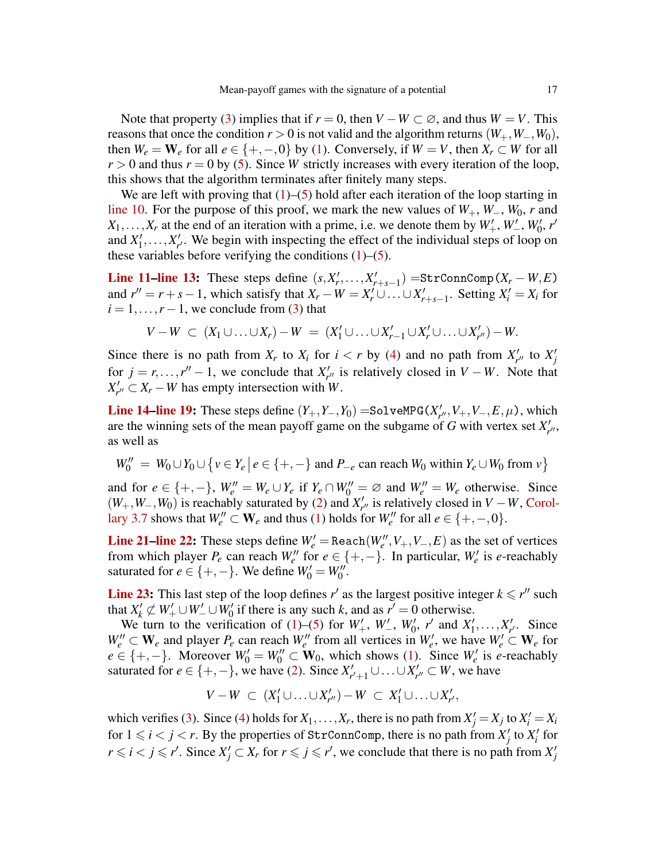Note that property [\(3\)](#page-15-3) implies that if  $r = 0$ , then  $V - W \subset \emptyset$ , and thus  $W = V$ . This reasons that once the condition  $r > 0$  is not valid and the algorithm returns  $(W_+, W_-, W_0)$ , then  $W_e = W_e$  for all  $e \in \{+, -, 0\}$  by [\(1\)](#page-15-1). Conversely, if  $W = V$ , then  $X_r \subset W$  for all  $r > 0$  and thus  $r = 0$  by [\(5\)](#page-15-2). Since *W* strictly increases with every iteration of the loop, this shows that the algorithm terminates after finitely many steps.

We are left with proving that  $(1)$ – $(5)$  hold after each iteration of the loop starting in [line 10.](#page-6-1) For the purpose of this proof, we mark the new values of  $W_+$ ,  $W_-, W_0$ , *r* and  $X_1, \ldots, X_r$  at the end of an iteration with a prime, i.e. we denote them by  $W'_+, W'_-, W'_0, r'$ and  $X'_1, \ldots, X'_{r'}$ . We begin with inspecting the effect of the individual steps of loop on these variables before verifying the conditions  $(1)$ – $(5)$ .

[Line 11–](#page-6-8)[line 13:](#page-6-9) These steps define  $(s, X'_r, \ldots, X'_{r+s-1}) = \text{StrConnComp}(X_r - W, E)$ and  $r'' = r + s - 1$ , which satisfy that  $X_r - W = X'_r \cup ... \cup X'_{r+s-1}$ . Setting  $X'_i = X_i$  for  $i = 1, \ldots, r-1$ , we conclude from [\(3\)](#page-15-3) that

$$
V - W \subset (X_1 \cup \ldots \cup X_r) - W = (X'_1 \cup \ldots \cup X'_{r-1} \cup X'_{r} \cup \ldots \cup X'_{r'}) - W.
$$

Since there is no path from  $X_r$  to  $X_i$  for  $i < r$  by [\(4\)](#page-15-4) and no path from  $X'_{r''}$  to  $X'_j$ for  $j = r, \ldots, r'' - 1$ , we conclude that  $X'_{r''}$  is relatively closed in  $V - W$ . Note that  $X'_{r''} \subset X_r - W$  has empty intersection with *W*.

**[Line 14](#page-6-3)[–line 19:](#page-6-10)** These steps define  $(Y_+, Y_-, Y_0) =$ SolveMPG( $X'_{r''}, V_+, V_-, E, \mu$ ), which are the winning sets of the mean payoff game on the subgame of *G* with vertex set  $X'_{r''}$ , as well as

$$
W_0'' = W_0 \cup Y_0 \cup \{v \in Y_e \mid e \in \{+, -\} \text{ and } P_{-e} \text{ can reach } W_0 \text{ within } Y_e \cup W_0 \text{ from } v\}
$$

and for  $e \in \{+, -\}, W_e^{\prime\prime} = W_e \cup Y_e$  if  $Y_e \cap W_0^{\prime\prime} = \emptyset$  and  $W_e^{\prime\prime} = W_e$  otherwise. Since  $(W_+, W_-, W_0)$  is reachably saturated by [\(2\)](#page-15-5) and  $X'_{r''}$  is relatively closed in  $V - W$ , [Corol](#page-14-1)[lary 3.7](#page-14-1) shows that  $W_e'' \subset \mathbf{W}_e$  and thus [\(1\)](#page-15-1) holds for  $W_e''$  for all  $e \in \{+,-,0\}$ .

**[Line 21](#page-6-4)[–line 22:](#page-6-5)** These steps define  $W'_e$  = Reach( $W''_e$ ,  $V_+, V_-, E$ ) as the set of vertices from which player  $P_e$  can reach  $W''_e$  for  $e \in \{+, -\}$ . In particular,  $W'_e$  is *e*-reachably saturated for  $e \in \{+, -\}$ . We define  $W'_0 = W''_0$ .

**[Line 23:](#page-6-6)** This last step of the loop defines  $r'$  as the largest positive integer  $k \leq r''$  such that  $X'_k \not\subset W'_+ \cup W'_- \cup W'_0$  if there is any such *k*, and as  $r' = 0$  otherwise.

We turn to the verification of [\(1\)](#page-15-1)–[\(5\)](#page-15-2) for  $W'_{+}$ ,  $W'_{-}$ ,  $W'_{0}$ ,  $r'$  and  $X'_{1}, \ldots, X'_{r'}$ . Since  $W'_{-}$  $W_e'' \subset W_e$  and player  $P_e$  can reach  $W_e''$  from all vertices in  $W_e'$ , we have  $W_e' \subset W_e$  for  $e \in \{+, -\}.$  Moreover  $W_0' = W_0'' \subset W_0$ , which shows [\(1\)](#page-15-1). Since  $W_e'$  is *e*-reachably saturated for  $e \in \{+, -\}$ , we have [\(2\)](#page-15-5). Since  $X'_{r'+1} \cup ... \cup X'_{r''} \subset W$ , we have

$$
V-W \subset (X'_1 \cup \ldots \cup X'_{r''})-W \subset X'_1 \cup \ldots \cup X'_{r'},
$$

which verifies [\(3\)](#page-15-3). Since [\(4\)](#page-15-4) holds for  $X_1, \ldots, X_r$ , there is no path from  $X'_j = X_j$  to  $X'_i = X_i$ for  $1 \leq i < j < r$ . By the properties of StrConnComp, there is no path from  $X'_{j}$  to  $X'_{i}$  for  $r \le i < j \le r'$ . Since  $X'_j \subset X_r$  for  $r \le j \le r'$ , we conclude that there is no path from  $X'_j$